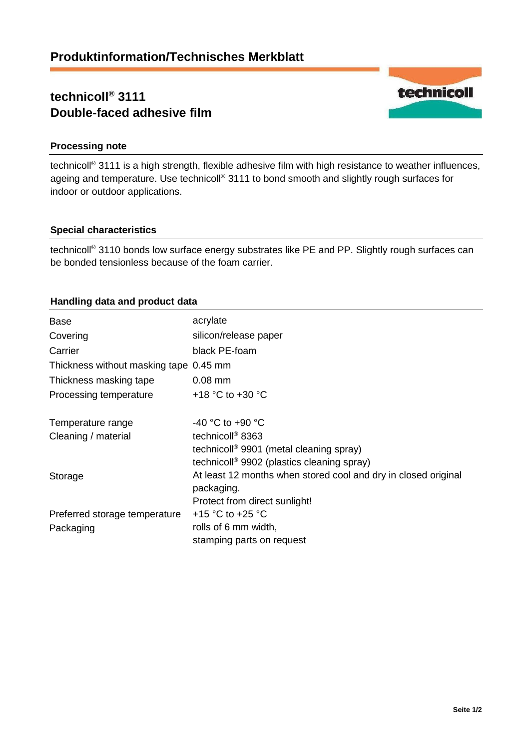# **technicoll® 3111 Double-faced adhesive film**



# **Processing note**

technicoll® 3111 is a high strength, flexible adhesive film with high resistance to weather influences, ageing and temperature. Use technicoll<sup>®</sup> 3111 to bond smooth and slightly rough surfaces for indoor or outdoor applications.

## **Special characteristics**

technicoll® 3110 bonds low surface energy substrates like PE and PP. Slightly rough surfaces can be bonded tensionless because of the foam carrier.

# **Handling data and product data**

| <b>Base</b>                            | acrylate                                                                     |
|----------------------------------------|------------------------------------------------------------------------------|
| Covering                               | silicon/release paper                                                        |
| Carrier                                | black PE-foam                                                                |
| Thickness without masking tape 0.45 mm |                                                                              |
| Thickness masking tape                 | $0.08$ mm                                                                    |
| Processing temperature                 | +18 $\degree$ C to +30 $\degree$ C                                           |
| Temperature range                      | $-40$ °C to $+90$ °C                                                         |
| Cleaning / material                    | technicoll <sup>®</sup> 8363                                                 |
|                                        | technicoll <sup>®</sup> 9901 (metal cleaning spray)                          |
|                                        | technicoll <sup>®</sup> 9902 (plastics cleaning spray)                       |
| Storage                                | At least 12 months when stored cool and dry in closed original<br>packaging. |
|                                        | Protect from direct sunlight!                                                |
| Preferred storage temperature          | +15 °C to +25 °C                                                             |
| Packaging                              | rolls of 6 mm width,                                                         |
|                                        | stamping parts on request                                                    |